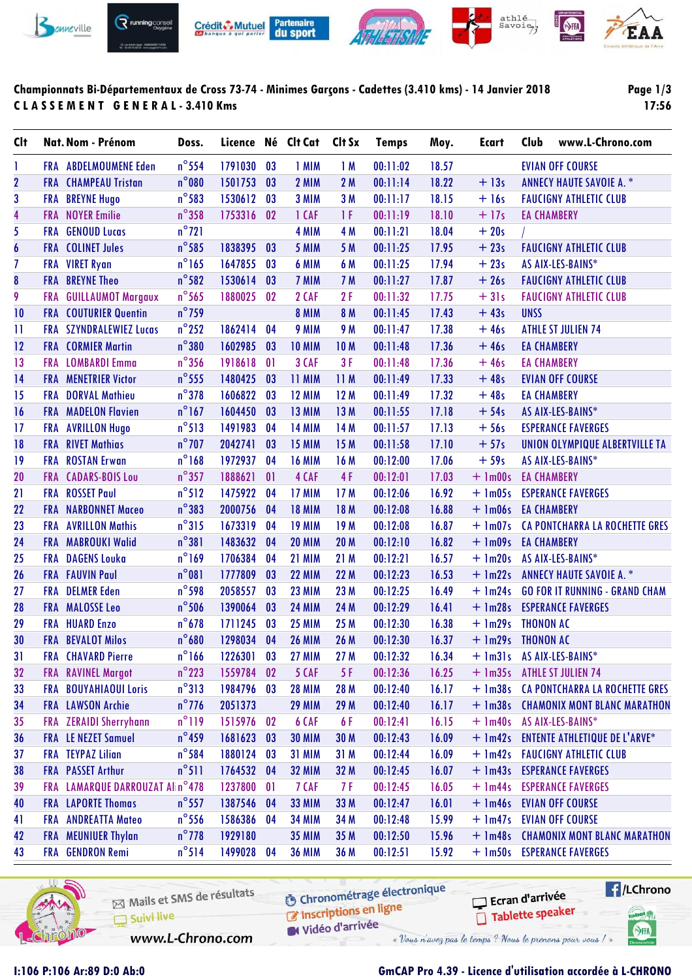

## **Championnats Bi-Départementaux de Cross 73-74 - Minimes Garçons - Cadettes (3.410 kms) - 14 Janvier 2018 C L A S S E M E N T G E N E R A L - 3.410 Kms**

**Page 1/3 17:56**

| <b>CIt</b>       |            | Nat. Nom - Prénom            | Doss.           |            |    | Licence Né Clt Cat | Clt Sx     | <b>Temps</b> | Moy.  | Ecart               | Club               | www.L-Chrono.com                       |
|------------------|------------|------------------------------|-----------------|------------|----|--------------------|------------|--------------|-------|---------------------|--------------------|----------------------------------------|
| 1                |            | <b>FRA ABDELMOUMENE Eden</b> | $n^{\circ}$ 554 | 1791030    | 03 | 1 MIM              | 1M         | 00:11:02     | 18.57 |                     |                    | <b>EVIAN OFF COURSE</b>                |
| $\mathbf{2}$     |            | <b>FRA CHAMPEAU Tristan</b>  | $n^{\circ}080$  | 1501753    | 03 | 2 MIM              | 2M         | 00:11:14     | 18.22 | $+13s$              |                    | <b>ANNECY HAUTE SAVOIE A. *</b>        |
| 3                |            | <b>FRA BREYNE Hugo</b>       | $n^{\circ}$ 583 | 1530612    | 03 | 3 MIM              | 3 M        | 00:11:17     | 18.15 | $+16s$              |                    | <b>FAUCIGNY ATHLETIC CLUB</b>          |
| 4                |            | <b>FRA</b> NOYER Emilie      | $n^{\circ}358$  | 1753316    | 02 | 1 CAF              | 1F         | 00:11:19     | 18.10 | $+17s$              | <b>EA CHAMBERY</b> |                                        |
| 5                |            | <b>FRA</b> GENOUD Lucas      | $n^{\circ}$ 721 |            |    | 4 MIM              | 4 M        | 00:11:21     | 18.04 | $+20s$              |                    |                                        |
| $\boldsymbol{6}$ |            | <b>FRA</b> COLINET Jules     | $n^{\circ}$ 585 | 1838395    | 03 | 5 MIM              | 5 M        | 00:11:25     | 17.95 | $+23s$              |                    | <b>FAUCIGNY ATHLETIC CLUB</b>          |
| $\overline{1}$   |            | FRA VIRET Ryan               | $n^{\circ}$ 165 | 1647855    | 03 | 6 MIM              | 6 M        | 00:11:25     | 17.94 | $+23s$              |                    | AS AIX-LES-BAINS*                      |
| $\pmb{8}$        |            | <b>FRA BREYNE Theo</b>       | $n^{\circ}$ 582 | 1530614    | 03 | 7 MIM              | 7 M        | 00:11:27     | 17.87 | $+26s$              |                    | <b>FAUCIGNY ATHLETIC CLUB</b>          |
| 9                | <b>FRA</b> | <b>GUILLAUMOT Margaux</b>    | $n^{\circ}$ 565 | 1880025    | 02 | 2 CAF              | 2F         | 00:11:32     | 17.75 | $+31s$              |                    | <b>FAUCIGNY ATHLETIC CLUB</b>          |
| 10               |            | <b>FRA</b> COUTURIER Quentin | $n^{\circ}$ 759 |            |    | <b>8 MIM</b>       | 8 M        | 00:11:45     | 17.43 | $+43s$              | <b>UNSS</b>        |                                        |
| 11               |            | FRA SZYNDRALEWIEZ Lucas      | $n^{\circ}$ 252 | 1862414    | 04 | 9 MIM              | 9 M        | 00:11:47     | 17.38 | $+46s$              |                    | <b>ATHLE ST JULIEN 74</b>              |
| 12               |            | <b>FRA CORMIER Martin</b>    | $n^{\circ}380$  | 1602985    | 03 | <b>10 MIM</b>      | <b>10M</b> | 00:11:48     | 17.36 | $+46s$              | <b>EA CHAMBERY</b> |                                        |
| 13               |            | <b>FRA</b> LOMBARDI Emma     | $n^{\circ}$ 356 | 1918618    | 01 | 3 CAF              | 3F         | 00:11:48     | 17.36 | $+46s$              | <b>EA CHAMBERY</b> |                                        |
| 14               |            | <b>FRA</b> MENETRIER Victor  | $n^{\circ}$ 555 | 1480425    | 03 | 11 MIM             | 11M        | 00:11:49     | 17.33 | $+48s$              |                    | <b>EVIAN OFF COURSE</b>                |
| 15               |            | <b>FRA</b> DORVAL Mathieu    | $n^{\circ}378$  | 1606822    | 03 | <b>12 MIM</b>      | 12M        | 00:11:49     | 17.32 | $+48s$              | <b>EA CHAMBERY</b> |                                        |
| 16               |            | <b>FRA</b> MADELON Flavien   | $n^{\circ}$ 167 | 1604450    | 03 | <b>13 MIM</b>      | 13 M       | 00:11:55     | 17.18 | $+54s$              |                    | AS AIX-LES-BAINS*                      |
| 17               |            | FRA AVRILLON Hugo            | $n^{\circ}513$  | 1491983    | 04 | <b>14 MIM</b>      | 14 M       | 00:11:57     | 17.13 | $+56s$              |                    | <b>ESPERANCE FAVERGES</b>              |
| 18               |            | <b>FRA</b> RIVET Mathias     | $n^{\circ}$ 707 | 2042741    | 03 | <b>15 MIM</b>      | 15 M       | 00:11:58     | 17.10 | $+57s$              |                    | UNION OLYMPIQUE ALBERTVILLE TA         |
| 19               |            | <b>FRA</b> ROSTAN Erwan      | $n^{\circ}$ 168 | 1972937    | 04 | <b>16 MIM</b>      | 16 M       | 00:12:00     | 17.06 | $+59s$              |                    | AS AIX-LES-BAINS*                      |
| 20               |            | FRA CADARS-BOIS Lou          | $n^{\circ}$ 357 | 1888621    | 01 | 4 CAF              | 4F         | 00:12:01     | 17.03 | $+$ 1m00s           | <b>EA CHAMBERY</b> |                                        |
| 21               |            | <b>FRA</b> ROSSET Paul       | $n^{\circ}512$  | 1475922    | 04 | <b>17 MIM</b>      | 17M        | 00:12:06     | 16.92 | $+$ 1m05s           |                    | <b>ESPERANCE FAVERGES</b>              |
| 22               |            | <b>FRA NARBONNET Maceo</b>   | $n^{\circ}383$  | 2000756    | 04 | <b>18 MIM</b>      | 18 M       | 00:12:08     | 16.88 | + 1m06s EA CHAMBERY |                    |                                        |
| 23               |            | <b>FRA</b> AVRILLON Mathis   | $n^{\circ}315$  | 1673319    | 04 | <b>19 MIM</b>      | 19M        | 00:12:08     | 16.87 | $+$ 1m07s           |                    | <b>CA PONTCHARRA LA ROCHETTE GRES</b>  |
| 24               |            | FRA MABROUKI Walid           | $n^{\circ}381$  | 1483632    | 04 | <b>20 MIM</b>      | 20 M       | 00:12:10     | 16.82 | $+ \text{lm09s}$    | <b>EA CHAMBERY</b> |                                        |
| 25               |            | <b>FRA DAGENS Louka</b>      | $n^{\circ}$ 169 | 1706384    | 04 | <b>21 MIM</b>      | 21 M       | 00:12:21     | 16.57 | $+ \ln 20s$         |                    | AS AIX-LES-BAINS*                      |
| 26               |            | <b>FRA</b> FAUVIN Paul       | $n^{\circ}081$  | 1777809    | 03 | <b>22 MIM</b>      | 22 M       | 00:12:23     | 16.53 | $+ \ln 22s$         |                    | <b>ANNECY HAUTE SAVOIE A. *</b>        |
| 27               |            | <b>FRA</b> DELMER Eden       | $n^{\circ}$ 598 | 2058557    | 03 | <b>23 MIM</b>      | 23 M       | 00:12:25     | 16.49 | $+ \ln 24s$         |                    | <b>GO FOR IT RUNNING - GRAND CHAM</b>  |
| 28               |            | FRA MALOSSE Leo              | $n^{\circ}$ 506 | 1390064    | 03 | <b>24 MIM</b>      | 24 M       | 00:12:29     | 16.41 |                     |                    | + 1m28s ESPERANCE FAVERGES             |
| 29               |            | <b>FRA HUARD Enzo</b>        | $n^{\circ}678$  | 1711245    | 03 | <b>25 MIM</b>      | 25 M       | 00:12:30     | 16.38 | $+ \ln 29s$         | <b>THONON AC</b>   |                                        |
| 30               |            | FRA BEVALOT Milos            | $n^{\circ}680$  | 1298034    | 04 | <b>26 MIM</b>      | 26 M       | 00:12:30     | 16.37 | + 1m29s THONON AC   |                    |                                        |
| 31               |            | <b>FRA</b> CHAVARD Pierre    | $n^{\circ}$ 166 | 1226301    | 03 | <b>27 MIM</b>      | 27 M       | 00:12:32     | 16.34 |                     |                    | + 1m31s AS AIX-LES-BAINS*              |
| 32               |            | <b>FRA</b> RAVINEL Margot    | $n^{\circ}$ 223 | 1559784    | 02 | 5 CAF              | 5 F        | 00:12:36     | 16.25 | $+$ 1m35s           |                    | <b>ATHLE ST JULIEN 74</b>              |
| 33               |            | FRA BOUYAHIAOUI Loris        | $n^{\circ}313$  | 1984796    | 03 | <b>28 MIM</b>      | 28 M       | 00:12:40     | 16.17 |                     |                    | + 1m38s CA PONTCHARRA LA ROCHETTE GRES |
| 34               |            | FRA LAWSON Archie            | $n^{\circ}$ 776 | 2051373    |    | <b>29 MIM</b>      | 29 M       | 00:12:40     | 16.17 |                     |                    | + 1m38s CHAMONIX MONT BLANC MARATHON   |
| 35               | <b>FRA</b> | <b>ZERAIDI Sherryhann</b>    | $n^{\circ}119$  | 1515976    | 02 | 6 CAF              | 6F         | 00:12:41     | 16.15 | $+$ 1m40s           |                    | AS AIX-LES-BAINS*                      |
| 36               |            | <b>FRA</b> LE NEZET Samuel   | $n^{\circ}$ 459 | 1681623    | 03 | <b>30 MIM</b>      | 30 M       | 00:12:43     | 16.09 |                     |                    | + 1m42s ENTENTE ATHLETIQUE DE L'ARVE*  |
| 37               | FRA        | <b>TEYPAZ Lilian</b>         | $n^{\circ}$ 584 | 1880124    | 03 | <b>31 MIM</b>      | 31 M       | 00:12:44     | 16.09 |                     |                    | + 1m42s  FAUCIGNY ATHLETIC CLUB        |
| 38               |            | FRA PASSET Arthur            | $n^{\circ}511$  | 1764532    | 04 | <b>32 MIM</b>      | 32 M       | 00:12:45     | 16.07 |                     |                    | + 1m43s ESPERANCE FAVERGES             |
| 39               | FRA        | LAMARQUE DARROUZAT Alin°478  |                 | 1237800    | 01 | 7 CAF              | 7 F        | 00:12:45     | 16.05 | $+$ $lm44s$         |                    | <b>ESPERANCE FAVERGES</b>              |
| 40               |            | <b>FRA</b> LAPORTE Thomas    | $n^{\circ}$ 557 | 1387546    | 04 | <b>33 MIM</b>      | 33 M       | 00:12:47     | 16.01 |                     |                    | + 1m46s EVIAN OFF COURSE               |
| 41               |            | FRA ANDREATTA Mateo          | $n^{\circ}$ 556 | 1586386    | 04 | <b>34 MIM</b>      | 34 M       | 00:12:48     | 15.99 | $+$ 1m47s           |                    | <b>EVIAN OFF COURSE</b>                |
| 42               |            | FRA MEUNIUER Thylan          | $n^{\circ}$ 778 | 1929180    |    | <b>35 MIM</b>      | 35 M       | 00:12:50     | 15.96 |                     |                    | + 1m48s CHAMONIX MONT BLANC MARATHON   |
| 43               |            | FRA GENDRON Remi             | $n^{\circ}514$  | 1499028 04 |    | <b>36 MIM</b>      | 36 M       | 00:12:51     | 15.92 |                     |                    | + 1m50s ESPERANCE FAVERGES             |
|                  |            |                              |                 |            |    |                    |            |              |       |                     |                    |                                        |



Mails et SMS de résultats Chronomediago Suivi live W Vidéo d'arrivée www.L-Chrono.com

**O** Chronométrage électronique

Ecran d'arrivée Tablette speaker



## **I:106 P:106 Ar:89 D:0 Ab:0 GmCAP Pro 4.39 - Licence d'utilisation accordée à L-CHRONO**

« Vous n'avez pas le temps ? Nous le prenons pour vous !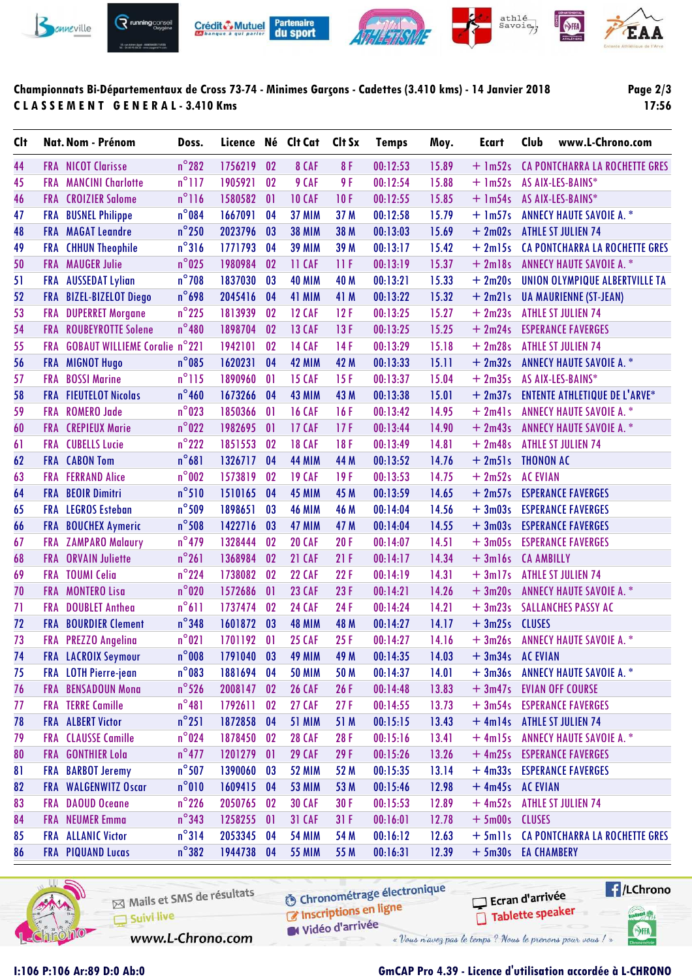

## **Championnats Bi-Départementaux de Cross 73-74 - Minimes Garçons - Cadettes (3.410 kms) - 14 Janvier 2018 C L A S S E M E N T G E N E R A L - 3.410 Kms**

**Page 2/3 17:56**

| $n^{\circ}$ 282<br>8F<br>1756219<br>02<br>8 CAF<br>15.89<br>$+ \ln 52s$<br>44<br><b>FRA NICOT Clarisse</b><br>00:12:53<br>$n^{\circ}$ 117<br><b>MANCINI Charlotte</b><br>1905921<br>02<br>9 CAF<br>9 F<br>00:12:54<br>15.88<br>$+$ 1m52s<br>AS AIX-LES-BAINS*<br>45<br><b>FRA</b><br>$n^{\circ}$ 116<br><b>10 CAF</b><br>$+$ 1m54s<br>46<br><b>CROIZIER Salome</b><br>1580582<br>01<br>10F<br>00:12:55<br>15.85<br>AS AIX-LES-BAINS*<br><b>FRA</b> | CA PONTCHARRA LA ROCHETTE GRES        |
|----------------------------------------------------------------------------------------------------------------------------------------------------------------------------------------------------------------------------------------------------------------------------------------------------------------------------------------------------------------------------------------------------------------------------------------------------|---------------------------------------|
|                                                                                                                                                                                                                                                                                                                                                                                                                                                    |                                       |
|                                                                                                                                                                                                                                                                                                                                                                                                                                                    |                                       |
|                                                                                                                                                                                                                                                                                                                                                                                                                                                    |                                       |
| $n^{\circ}084$<br>1667091<br>15.79<br>$+ \text{lm57s}$<br>47<br><b>FRA</b> BUSNEL Philippe<br>04<br><b>37 MIM</b><br>37 M<br>00:12:58<br><b>ANNECY HAUTE SAVOIE A. *</b>                                                                                                                                                                                                                                                                           |                                       |
| $n^{\circ}$ 250<br>48<br><b>FRA MAGAT Leandre</b><br>2023796<br>03<br><b>38 MIM</b><br>38 M<br>00:13:03<br>15.69<br>$+2m02s$<br><b>ATHLE ST JULIEN 74</b>                                                                                                                                                                                                                                                                                          |                                       |
| $n^{\circ}316$<br>49<br><b>FRA</b> CHHUN Theophile<br>1771793<br>04<br><b>39 MIM</b><br>39 M<br>00:13:17<br>15.42<br>$+2m15s$                                                                                                                                                                                                                                                                                                                      | <b>CA PONTCHARRA LA ROCHETTE GRES</b> |
| $n^{\circ}025$<br><b>FRA MAUGER Julie</b><br>1980984<br>02<br>11 CAF<br>11F<br>00:13:19<br>15.37<br>$+2$ ml8s<br><b>ANNECY HAUTE SAVOIE A. *</b><br>50                                                                                                                                                                                                                                                                                             |                                       |
| $n^{\circ}$ 708<br><b>AUSSEDAT Lylian</b><br>1837030<br>03<br><b>40 MIM</b><br>40 M<br>00:13:21<br>15.33<br>$+2m20s$<br>51<br><b>FRA</b>                                                                                                                                                                                                                                                                                                           | UNION OLYMPIQUE ALBERTVILLE TA        |
| $n^{\circ}$ 698<br>2045416<br>52<br><b>BIZEL-BIZELOT Diego</b><br>04<br><b>41 MIM</b><br>41 M<br>00:13:22<br>15.32<br>$+2m21s$<br><b>FRA</b><br><b>UA MAURIENNE (ST-JEAN)</b>                                                                                                                                                                                                                                                                      |                                       |
| $n^{\circ}$ 225<br>53<br>$+2m23s$<br><b>DUPERRET Morgane</b><br>1813939<br>02<br><b>12 CAF</b><br>12F<br>00:13:25<br>15.27<br><b>ATHLE ST JULIEN 74</b><br><b>FRA</b>                                                                                                                                                                                                                                                                              |                                       |
| $n^{\circ}480$<br><b>FRA ROUBEYROTTE Solene</b><br>54<br>1898704<br>02<br><b>13 CAF</b><br>13F<br>00:13:25<br>15.25<br>$+2m24s$<br><b>ESPERANCE FAVERGES</b>                                                                                                                                                                                                                                                                                       |                                       |
| FRA GOBAUT WILLIEME Coralie n°221<br>1942101<br><b>14 CAF</b><br>15.18<br>$+2m28s$<br><b>ATHLE ST JULIEN 74</b><br>55<br>02<br>14F<br>00:13:29                                                                                                                                                                                                                                                                                                     |                                       |
| $n^{\circ}$ 085<br>$+2m32s$<br>56<br>1620231<br>04<br><b>42 MIM</b><br>42 M<br>00:13:33<br>15.11<br><b>ANNECY HAUTE SAVOIE A. *</b><br>FRA MIGNOT Hugo                                                                                                                                                                                                                                                                                             |                                       |
| $n^{\circ}$ 115<br>15F<br>$+2m35s$<br>AS AIX-LES-BAINS*<br>57<br><b>FRA</b><br><b>BOSSI Marine</b><br>1890960<br>01<br><b>15 CAF</b><br>00:13:37<br>15.04                                                                                                                                                                                                                                                                                          |                                       |
| $n^{\circ}$ 460<br>$+2m37s$<br>58<br><b>FIEUTELOT Nicolas</b><br>1673266<br>04<br><b>43 MIM</b><br>43 M<br>00:13:38<br>15.01<br><b>FRA</b>                                                                                                                                                                                                                                                                                                         | <b>ENTENTE ATHLETIQUE DE L'ARVE*</b>  |
| $n^{\circ}$ 023<br><b>ANNECY HAUTE SAVOIE A. *</b><br>59<br><b>ROMERO Jade</b><br>1850366<br>01<br><b>16 CAF</b><br>16F<br>00:13:42<br>14.95<br>$+2m41s$<br><b>FRA</b>                                                                                                                                                                                                                                                                             |                                       |
| $n^{\circ}022$<br>60<br><b>FRA CREPIEUX</b> Marie<br>1982695<br>01<br><b>17 CAF</b><br>17F<br>00:13:44<br>14.90<br>$+2m43s$<br><b>ANNECY HAUTE SAVOIE A. *</b>                                                                                                                                                                                                                                                                                     |                                       |
| $n^{\circ}$ 222<br>14.81<br>$+2m48s$<br><b>CUBELLS Lucie</b><br>1851553<br>02<br><b>18 CAF</b><br>18F<br>00:13:49<br><b>ATHLE ST JULIEN 74</b><br>61<br><b>FRA</b>                                                                                                                                                                                                                                                                                 |                                       |
| $n^{\circ}681$<br>$+2m51s$<br>62<br><b>FRA</b> CABON Tom<br>1326717<br>04<br><b>44 MIM</b><br>44 M<br>00:13:52<br>14.76<br><b>THONON AC</b>                                                                                                                                                                                                                                                                                                        |                                       |
| $n^{\circ}$ 002<br>$+2m52s$<br>63<br><b>FERRAND Alice</b><br>1573819<br>02<br><b>19 CAF</b><br>19F<br>00:13:53<br>14.75<br><b>AC EVIAN</b><br><b>FRA</b>                                                                                                                                                                                                                                                                                           |                                       |
| $n^{\circ}510$<br>64<br><b>BEOIR Dimitri</b><br>1510165<br>04<br><b>45 MIM</b><br>45 M<br>00:13:59<br>14.65<br>$+2m57s$<br><b>ESPERANCE FAVERGES</b><br><b>FRA</b>                                                                                                                                                                                                                                                                                 |                                       |
| $n^{\circ}$ 509<br>65<br><b>FRA</b> LEGROS Esteban<br>1898651<br>03<br><b>46 MIM</b><br>46 M<br>00:14:04<br>14.56<br>$+3m03s$<br><b>ESPERANCE FAVERGES</b>                                                                                                                                                                                                                                                                                         |                                       |
| $n^{\circ}$ 508<br>03<br>$+3m03s$<br>FRA BOUCHEX Aymeric<br>1422716<br><b>47 MIM</b><br>00:14:04<br>14.55<br><b>ESPERANCE FAVERGES</b><br>66<br>47 M                                                                                                                                                                                                                                                                                               |                                       |
| $n^{\circ}$ 479<br>14.51<br><b>ZAMPARO Malaury</b><br>1328444<br>02<br><b>20 CAF</b><br>20F<br>00:14:07<br>$+3m05s$<br><b>ESPERANCE FAVERGES</b><br>67<br><b>FRA</b>                                                                                                                                                                                                                                                                               |                                       |
| $n^{\circ}261$<br>1368984<br>14.34<br><b>ORVAIN Juliette</b><br>02<br><b>21 CAF</b><br>21F<br>00:14:17<br>$+3ml6s$<br><b>CA AMBILLY</b><br>68<br><b>FRA</b>                                                                                                                                                                                                                                                                                        |                                       |
| $n^{\circ}$ 224<br>69<br><b>TOUMI Celia</b><br>1738082<br>02<br><b>22 CAF</b><br>22F<br>14.31<br>$+3ml7s$<br><b>ATHLE ST JULIEN 74</b><br>00:14:19<br>FRA                                                                                                                                                                                                                                                                                          |                                       |
| $n^{\circ}$ 020<br>14.26<br>70<br><b>MONTERO Lisa</b><br>1572686<br>01<br><b>23 CAF</b><br>23F<br>00:14:21<br>$+3m20s$<br><b>ANNECY HAUTE SAVOIE A. *</b><br><b>FRA</b>                                                                                                                                                                                                                                                                            |                                       |
| $n^{\circ}611$<br>71<br><b>DOUBLET Anthea</b><br>1737474<br>02<br><b>24 CAF</b><br>24F<br>00:14:24<br>14.21<br>$+3m23s$<br><b>SALLANCHES PASSY AC</b><br><b>FRA</b>                                                                                                                                                                                                                                                                                |                                       |
| $n^{\circ}$ 348<br>$+3m25s$<br>72<br><b>BOURDIER Clement</b><br>1601872<br>03<br>14.17<br><b>CLUSES</b><br><b>48 MIM</b><br>48 M<br>00:14:27<br>FRA                                                                                                                                                                                                                                                                                                |                                       |
| $n^{\circ}021$<br>73<br>FRA PREZZO Angelina<br>1701192<br>01<br><b>25 CAF</b><br>25F<br>14.16<br>$+3m26s$<br><b>ANNECY HAUTE SAVOIE A. *</b><br>00:14:27                                                                                                                                                                                                                                                                                           |                                       |
| $n^{\circ}$ 008<br>03<br>00:14:35<br>14.03<br>+ 3m34s AC EVIAN<br>74<br><b>FRA</b> LACROIX Seymour<br>1791040<br><b>49 MIM</b><br>49 M                                                                                                                                                                                                                                                                                                             |                                       |
| $n^{\circ}$ 083<br>FRA LOTH Pierre-jean<br>1881694<br><b>50 MIM</b><br>$+3m36s$<br><b>ANNECY HAUTE SAVOIE A. *</b><br>75<br>04<br>50 M<br>00:14:37<br>14.01                                                                                                                                                                                                                                                                                        |                                       |
| $n^{\circ}$ 526<br>FRA BENSADOUN Mona<br><b>26 CAF</b><br>13.83<br>+ 3m47s EVIAN OFF COURSE<br>76<br>2008147<br>02<br>26F<br>00:14:48                                                                                                                                                                                                                                                                                                              |                                       |
| $n^{\circ}481$<br><b>FRA</b> TERRE Camille<br>1792611<br><b>27 CAF</b><br>13.73<br>$+3m54s$<br><b>ESPERANCE FAVERGES</b><br>02<br>27F<br>00:14:55<br>77                                                                                                                                                                                                                                                                                            |                                       |
| $n^{\circ}251$<br><b>ATHLE ST JULIEN 74</b><br>78<br><b>FRA ALBERT Victor</b><br>1872858<br>04<br><b>51 MIM</b><br>51 M<br>00:15:15<br>13.43<br>$+4ml4s$                                                                                                                                                                                                                                                                                           |                                       |
| $n^{\circ}$ 024<br>79<br><b>CLAUSSE Camille</b><br>1878450<br><b>28 CAF</b><br>28F<br>13.41<br>+ 4m15s ANNECY HAUTE SAVOIE A. *<br><b>FRA</b><br>02<br>00:15:16                                                                                                                                                                                                                                                                                    |                                       |
| $n^{\circ}477$<br>13.26<br><b>FRA</b> GONTHIER Lola<br>1201279<br><b>29 CAF</b><br>29F<br>00:15:26<br>+ 4m25s ESPERANCE FAVERGES<br>80<br> 0                                                                                                                                                                                                                                                                                                       |                                       |
| $n^{\circ}$ 507<br>FRA BARBOT Jeremy<br>13.14<br>+ 4m33s ESPERANCE FAVERGES<br>81<br>1390060<br>03<br><b>52 MIM</b><br>52 M<br>00:15:35                                                                                                                                                                                                                                                                                                            |                                       |
| $n^{\circ}010$<br>FRA WALGENWITZ Oscar<br><b>53 MIM</b><br>12.98<br>+ 4m45s AC EVIAN<br>82<br>1609415 04<br>53 M<br>00:15:46                                                                                                                                                                                                                                                                                                                       |                                       |
| $n^{\circ}$ 226<br><b>30 CAF</b><br>12.89<br>$+4m52s$<br><b>FRA</b> DAOUD Oceane<br>2050765<br>02<br>30 F<br>00:15:53<br><b>ATHLE ST JULIEN 74</b><br>83                                                                                                                                                                                                                                                                                           |                                       |
| $n^{\circ}$ 343<br>FRA NEUMER Emma<br>1258255<br>+ 5m00s CLUSES<br>84<br>31 CAF<br>31F<br>00:16:01<br>12.78<br> 0                                                                                                                                                                                                                                                                                                                                  |                                       |
| $n^{\circ}314$<br><b>FRA</b> ALLANIC Victor<br>2053345 04<br><b>54 MIM</b><br>00:16:12<br>12.63<br>+ 5mlls CA PONTCHARRA LA ROCHETTE GRES<br>85<br>54 M                                                                                                                                                                                                                                                                                            |                                       |
| $n^{\circ}382$<br>1944738 04<br><b>FRA PIQUAND Lucas</b><br><b>55 MIM</b><br>55 M<br>00:16:31<br>12.39<br>+ 5m30s EA CHAMBERY<br>86                                                                                                                                                                                                                                                                                                                |                                       |



**O** Chronométrage électronique Mails et SMS de résultats Chronomediago Suivi live W Vidéo d'arrivée www.L-Chrono.com « Vous n'avez pas le temps ? Nous le prenons pour vous !

**Exercise** Ecran d'arrivée Tablette speaker tabel<sup>1</sup>

SHA